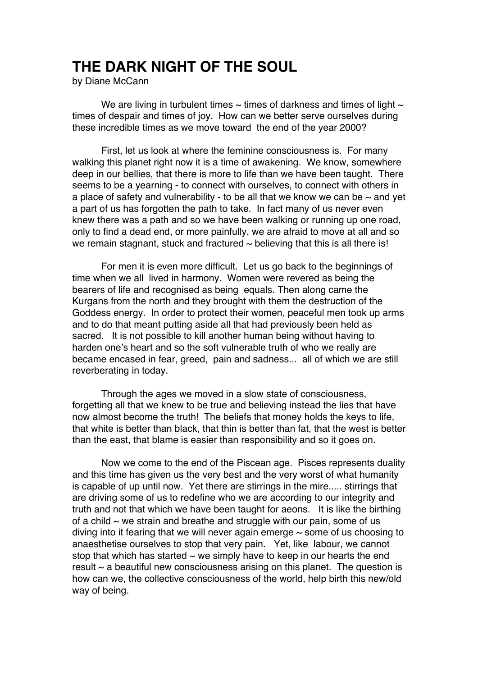## **THE DARK NIGHT OF THE SOUL**

by Diane McCann

We are living in turbulent times  $\sim$  times of darkness and times of light  $\sim$ times of despair and times of joy. How can we better serve ourselves during these incredible times as we move toward the end of the year 2000?

First, let us look at where the feminine consciousness is. For many walking this planet right now it is a time of awakening. We know, somewhere deep in our bellies, that there is more to life than we have been taught. There seems to be a yearning - to connect with ourselves, to connect with others in a place of safety and vulnerability - to be all that we know we can be  $\sim$  and yet a part of us has forgotten the path to take. In fact many of us never even knew there was a path and so we have been walking or running up one road, only to find a dead end, or more painfully, we are afraid to move at all and so we remain stagnant, stuck and fractured  $\sim$  believing that this is all there is!

For men it is even more difficult. Let us go back to the beginnings of time when we all lived in harmony. Women were revered as being the bearers of life and recognised as being equals. Then along came the Kurgans from the north and they brought with them the destruction of the Goddess energy. In order to protect their women, peaceful men took up arms and to do that meant putting aside all that had previously been held as sacred. It is not possible to kill another human being without having to harden one's heart and so the soft vulnerable truth of who we really are became encased in fear, greed, pain and sadness... all of which we are still reverberating in today.

Through the ages we moved in a slow state of consciousness, forgetting all that we knew to be true and believing instead the lies that have now almost become the truth! The beliefs that money holds the keys to life, that white is better than black, that thin is better than fat, that the west is better than the east, that blame is easier than responsibility and so it goes on.

Now we come to the end of the Piscean age. Pisces represents duality and this time has given us the very best and the very worst of what humanity is capable of up until now. Yet there are stirrings in the mire..... stirrings that are driving some of us to redefine who we are according to our integrity and truth and not that which we have been taught for aeons. It is like the birthing of a child  $\sim$  we strain and breathe and struggle with our pain, some of us diving into it fearing that we will never again emerge  $\sim$  some of us choosing to anaesthetise ourselves to stop that very pain. Yet, like labour, we cannot stop that which has started  $\sim$  we simply have to keep in our hearts the end result  $\sim$  a beautiful new consciousness arising on this planet. The question is how can we, the collective consciousness of the world, help birth this new/old way of being.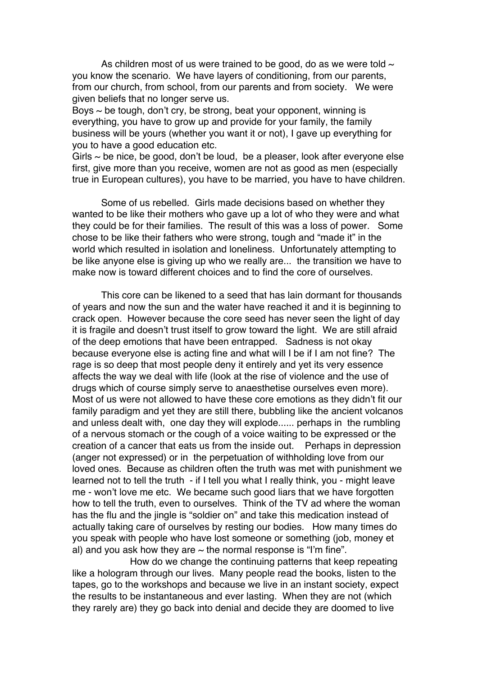As children most of us were trained to be good, do as we were told  $\sim$ you know the scenario. We have layers of conditioning, from our parents, from our church, from school, from our parents and from society. We were given beliefs that no longer serve us.

Boys  $\sim$  be tough, don't cry, be strong, beat your opponent, winning is everything, you have to grow up and provide for your family, the family business will be yours (whether you want it or not), I gave up everything for you to have a good education etc.

Girls  $\sim$  be nice, be good, don't be loud, be a pleaser, look after everyone else first, give more than you receive, women are not as good as men (especially true in European cultures), you have to be married, you have to have children.

Some of us rebelled. Girls made decisions based on whether they wanted to be like their mothers who gave up a lot of who they were and what they could be for their families. The result of this was a loss of power. Some chose to be like their fathers who were strong, tough and "made it" in the world which resulted in isolation and loneliness. Unfortunately attempting to be like anyone else is giving up who we really are... the transition we have to make now is toward different choices and to find the core of ourselves.

This core can be likened to a seed that has lain dormant for thousands of years and now the sun and the water have reached it and it is beginning to crack open. However because the core seed has never seen the light of day it is fragile and doesn't trust itself to grow toward the light. We are still afraid of the deep emotions that have been entrapped. Sadness is not okay because everyone else is acting fine and what will I be if I am not fine? The rage is so deep that most people deny it entirely and yet its very essence affects the way we deal with life (look at the rise of violence and the use of drugs which of course simply serve to anaesthetise ourselves even more). Most of us were not allowed to have these core emotions as they didn't fit our family paradigm and yet they are still there, bubbling like the ancient volcanos and unless dealt with, one day they will explode...... perhaps in the rumbling of a nervous stomach or the cough of a voice waiting to be expressed or the creation of a cancer that eats us from the inside out. Perhaps in depression (anger not expressed) or in the perpetuation of withholding love from our loved ones. Because as children often the truth was met with punishment we learned not to tell the truth - if I tell you what I really think, you - might leave me - won't love me etc. We became such good liars that we have forgotten how to tell the truth, even to ourselves. Think of the TV ad where the woman has the flu and the jingle is "soldier on" and take this medication instead of actually taking care of ourselves by resting our bodies. How many times do you speak with people who have lost someone or something (job, money et al) and you ask how they are  $\sim$  the normal response is "I'm fine".

How do we change the continuing patterns that keep repeating like a hologram through our lives. Many people read the books, listen to the tapes, go to the workshops and because we live in an instant society, expect the results to be instantaneous and ever lasting. When they are not (which they rarely are) they go back into denial and decide they are doomed to live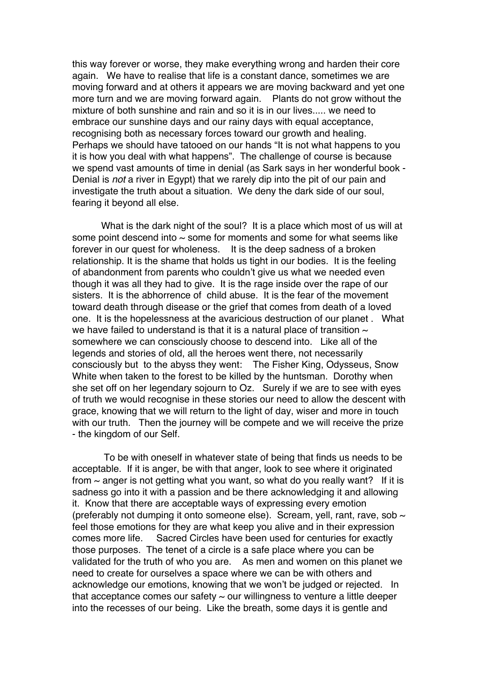this way forever or worse, they make everything wrong and harden their core again. We have to realise that life is a constant dance, sometimes we are moving forward and at others it appears we are moving backward and yet one more turn and we are moving forward again. Plants do not grow without the mixture of both sunshine and rain and so it is in our lives..... we need to embrace our sunshine days and our rainy days with equal acceptance, recognising both as necessary forces toward our growth and healing. Perhaps we should have tatooed on our hands "It is not what happens to you it is how you deal with what happens". The challenge of course is because we spend vast amounts of time in denial (as Sark says in her wonderful book - Denial is not a river in Egypt) that we rarely dip into the pit of our pain and investigate the truth about a situation. We deny the dark side of our soul, fearing it beyond all else.

What is the dark night of the soul? It is a place which most of us will at some point descend into  $\sim$  some for moments and some for what seems like forever in our quest for wholeness. It is the deep sadness of a broken relationship. It is the shame that holds us tight in our bodies. It is the feeling of abandonment from parents who couldn't give us what we needed even though it was all they had to give. It is the rage inside over the rape of our sisters. It is the abhorrence of child abuse. It is the fear of the movement toward death through disease or the grief that comes from death of a loved one. It is the hopelessness at the avaricious destruction of our planet . What we have failed to understand is that it is a natural place of transition  $\sim$ somewhere we can consciously choose to descend into. Like all of the legends and stories of old, all the heroes went there, not necessarily consciously but to the abyss they went: The Fisher King, Odysseus, Snow White when taken to the forest to be killed by the huntsman. Dorothy when she set off on her legendary sojourn to Oz. Surely if we are to see with eyes of truth we would recognise in these stories our need to allow the descent with grace, knowing that we will return to the light of day, wiser and more in touch with our truth. Then the journey will be compete and we will receive the prize - the kingdom of our Self.

 To be with oneself in whatever state of being that finds us needs to be acceptable. If it is anger, be with that anger, look to see where it originated from  $\sim$  anger is not getting what you want, so what do you really want? If it is sadness go into it with a passion and be there acknowledging it and allowing it. Know that there are acceptable ways of expressing every emotion (preferably not dumping it onto someone else). Scream, yell, rant, rave, sob  $\sim$ feel those emotions for they are what keep you alive and in their expression comes more life. Sacred Circles have been used for centuries for exactly those purposes. The tenet of a circle is a safe place where you can be validated for the truth of who you are. As men and women on this planet we need to create for ourselves a space where we can be with others and acknowledge our emotions, knowing that we won't be judged or rejected. In that acceptance comes our safety  $\sim$  our willingness to venture a little deeper into the recesses of our being. Like the breath, some days it is gentle and